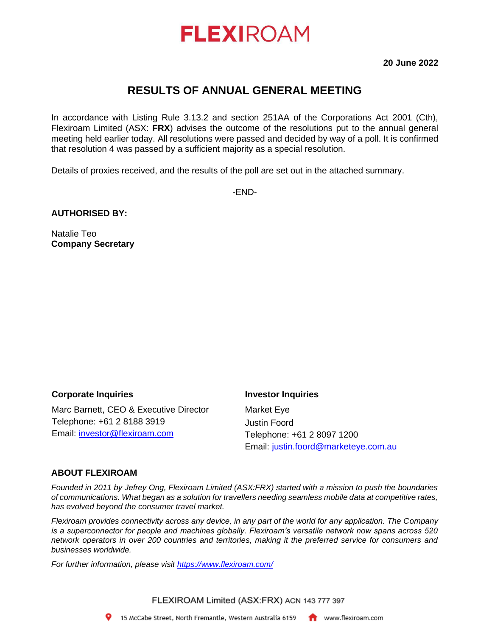# **FLEXIROAM**

**20 June 2022**

# **RESULTS OF ANNUAL GENERAL MEETING**

In accordance with Listing Rule 3.13.2 and section 251AA of the Corporations Act 2001 (Cth), Flexiroam Limited (ASX: **FRX**) advises the outcome of the resolutions put to the annual general meeting held earlier today. All resolutions were passed and decided by way of a poll. It is confirmed that resolution 4 was passed by a sufficient majority as a special resolution.

Details of proxies received, and the results of the poll are set out in the attached summary.

-END-

#### **AUTHORISED BY:**

Natalie Teo **Company Secretary**

### **Corporate Inquiries**

Marc Barnett, CEO & Executive Director Telephone: +61 2 8188 3919 Email: [investor@flexiroam.com](mailto:investor@flexiroam.com)

#### **Investor Inquiries**

Market Eye Justin Foord Telephone: +61 2 8097 1200 Email: [justin.foord@marketeye.com.au](mailto:justin.foord@marketeye.com.au)

### **ABOUT FLEXIROAM**

*Founded in 2011 by Jefrey Ong, Flexiroam Limited (ASX:FRX) started with a mission to push the boundaries of communications. What began as a solution for travellers needing seamless mobile data at competitive rates, has evolved beyond the consumer travel market.*

*Flexiroam provides connectivity across any device, in any part of the world for any application. The Company is a superconnector for people and machines globally. Flexiroam's versatile network now spans across 520 network operators in over 200 countries and territories, making it the preferred service for consumers and businesses worldwide.*

*For further information, please visit<https://www.flexiroam.com/>*